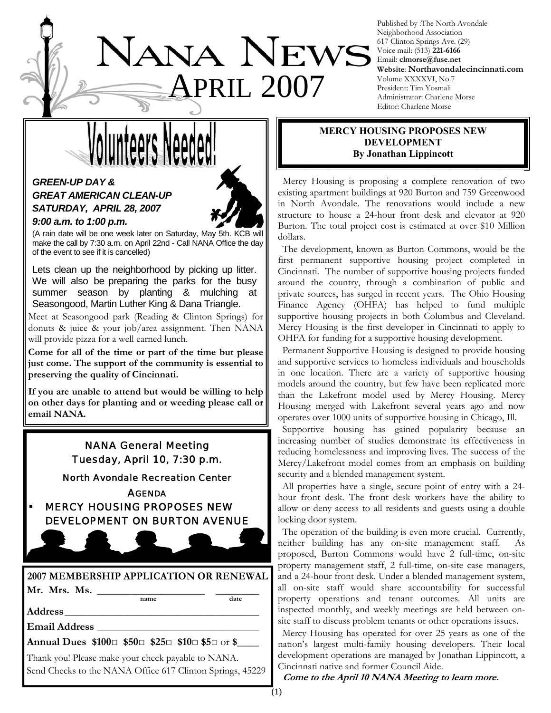# JANA NEWS **PRIL 2007**

Published by :The North Avondale Neighborhood Association 617 Clinton Springs Ave. (29) Voice mail: (513) **221-6166** Email: **clmorse@fuse.net Website**: **Northavondalecincinnati.com** Volume XXXXVI, No.7 President: Tim Yosmali Administrator: Charlene Morse Editor: Charlene Morse

# *GREEN-UP DAY &*

## *GREAT AMERICAN CLEAN-UP SATURDAY, APRIL 28, 2007 9:00 a.m. to 1:00 p.m.*



(A rain date will be one week later on Saturday, May 5th. KCB will make the call by 7:30 a.m. on April 22nd - Call NANA Office the day of the event to see if it is cancelled)

Lets clean up the neighborhood by picking up litter. We will also be preparing the parks for the busy summer season by planting & mulching at Seasongood, Martin Luther King & Dana Triangle.

Meet at Seasongood park (Reading & Clinton Springs) for donuts & juice & your job/area assignment. Then NANA will provide pizza for a well earned lunch.

**Come for all of the time or part of the time but please just come. The support of the community is essential to preserving the quality of Cincinnati.** 

**If you are unable to attend but would be willing to help on other days for planting and or weeding please call or email NANA.** 

### NANA General Meeting Tuesday, April 10, 7:30 p.m.

North Avondale Recreation Center

**AGENDA** 

**MERCY HOUSING PROPOSES NEW** DEVELOPMENT ON BURTON AVENUE

# **2007 MEMBERSHIP APPLICATION OR RENEWAL Mr. Mrs. Ms.** \_\_\_\_\_\_\_\_\_\_\_\_\_\_\_\_\_\_\_\_ \_\_\_\_\_\_\_\_ **name date**

**Address**\_\_\_\_\_\_\_\_\_\_\_\_\_\_\_\_\_\_\_\_\_\_\_\_\_\_\_\_\_\_\_\_\_\_\_\_

**Email Address** \_\_\_\_\_\_\_\_\_\_\_\_\_\_\_\_\_\_\_\_\_\_\_\_\_\_\_\_\_\_

**Annual Dues \$100**□ **\$50**□ **\$25**□ **\$10**□ **\$5**□ or **\$**\_\_\_\_

Thank you! Please make your check payable to NANA. Send Checks to the NANA Office 617 Clinton Springs, 45229

#### **MERCY HOUSING PROPOSES NEW DEVELOPMENT By Jonathan Lippincott**

 Mercy Housing is proposing a complete renovation of two existing apartment buildings at 920 Burton and 759 Greenwood in North Avondale. The renovations would include a new structure to house a 24-hour front desk and elevator at 920 Burton. The total project cost is estimated at over \$10 Million dollars.

 The development, known as Burton Commons, would be the first permanent supportive housing project completed in Cincinnati. The number of supportive housing projects funded around the country, through a combination of public and private sources, has surged in recent years. The Ohio Housing Finance Agency (OHFA) has helped to fund multiple supportive housing projects in both Columbus and Cleveland. Mercy Housing is the first developer in Cincinnati to apply to OHFA for funding for a supportive housing development.

 Permanent Supportive Housing is designed to provide housing and supportive services to homeless individuals and households in one location. There are a variety of supportive housing models around the country, but few have been replicated more than the Lakefront model used by Mercy Housing. Mercy Housing merged with Lakefront several years ago and now operates over 1000 units of supportive housing in Chicago, Ill.

 Supportive housing has gained popularity because an increasing number of studies demonstrate its effectiveness in reducing homelessness and improving lives. The success of the Mercy/Lakefront model comes from an emphasis on building security and a blended management system.

 All properties have a single, secure point of entry with a 24 hour front desk. The front desk workers have the ability to allow or deny access to all residents and guests using a double locking door system.

 The operation of the building is even more crucial. Currently, neither building has any on-site management staff. As proposed, Burton Commons would have 2 full-time, on-site property management staff, 2 full-time, on-site case managers, and a 24-hour front desk. Under a blended management system, all on-site staff would share accountability for successful property operations and tenant outcomes. All units are inspected monthly, and weekly meetings are held between onsite staff to discuss problem tenants or other operations issues.

 Mercy Housing has operated for over 25 years as one of the nation's largest multi-family housing developers. Their local development operations are managed by Jonathan Lippincott, a Cincinnati native and former Council Aide.

**Come to the April 10 NANA Meeting to learn more.**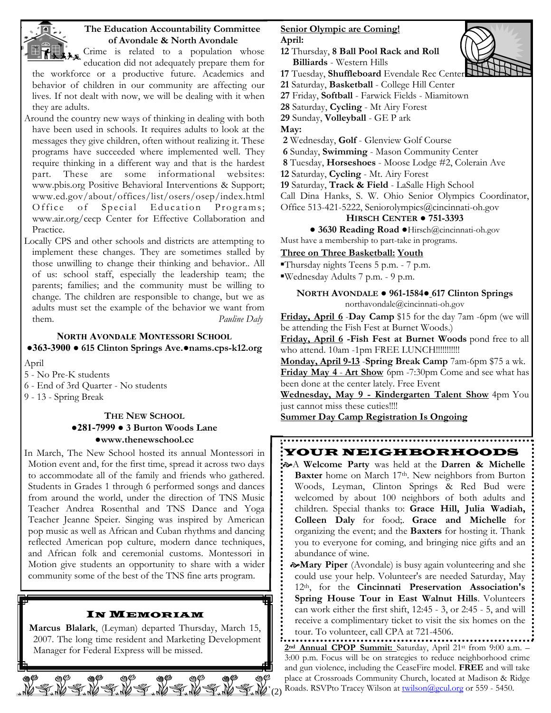

#### **The Education Accountability Committee of Avondale & North Avondale**

Crime is related to a population whose education did not adequately prepare them for

the workforce or a productive future. Academics and behavior of children in our community are affecting our lives. If not dealt with now, we will be dealing with it when they are adults.

- Around the country new ways of thinking in dealing with both have been used in schools. It requires adults to look at the messages they give children, often without realizing it. These programs have succeeded where implemented well. They require thinking in a different way and that is the hardest part. These are some informational websites: www.pbis.org Positive Behavioral Interventions & Support; www.ed.gov/about/offices/list/osers/osep/index.html Office of Special Education Programs; www.air.org/cecp Center for Effective Collaboration and Practice.
- Locally CPS and other schools and districts are attempting to implement these changes. They are sometimes stalled by those unwilling to change their thinking and behavior.. All of us: school staff, especially the leadership team; the parents; families; and the community must be willing to change. The children are responsible to change, but we as adults must set the example of the behavior we want from them. *Pauline Daly*

#### **NORTH AVONDALE MONTESSORI SCHOOL ●363-3900 ● 615 Clinton Springs Ave.●nams.cps-k12.org**

April

- 5 No Pre-K students
- 6 End of 3rd Quarter No students
- 9 13 Spring Break

#### **THE NEW SCHOOL ●281-7999 ● 3 Burton Woods Lane ●www.thenewschool.cc**

In March, The New School hosted its annual Montessori in Motion event and, for the first time, spread it across two days to accommodate all of the family and friends who gathered. Students in Grades 1 through 6 performed songs and dances from around the world, under the direction of TNS Music Teacher Andrea Rosenthal and TNS Dance and Yoga Teacher Jeanne Speier. Singing was inspired by American pop music as well as African and Cuban rhythms and dancing reflected American pop culture, modern dance techniques, and African folk and ceremonial customs. Montessori in Motion give students an opportunity to share with a wider community some of the best of the TNS fine arts program.

#### IN MEMORIAM

**Marcus Blalark**, (Leyman) departed Thursday, March 15, 2007. The long time resident and Marketing Development Manager for Federal Express will be missed.

NEWENENE NEWENEN

#### **Senior Olympic are Coming! April:**

- **12** Thursday, **8 Ball Pool Rack and Roll Billiards** - Western Hills
- **17** Tuesday, **Shuffleboard** Evendale Rec Center
- **21** Saturday, **Basketball** College Hill Center
- **27** Friday, **Softball** Farwick Fields Miamitown
- **28** Saturday, **Cycling** Mt Airy Forest
- **29** Sunday, **Volleyball** GE P ark

**May:**

- **2** Wednesday, **Golf** Glenview Golf Course
- **6** Sunday, **Swimming** Mason Community Center
- **8** Tuesday, **Horseshoes** Moose Lodge #2, Colerain Ave
- **12** Saturday, **Cycling** Mt. Airy Forest
- **19** Saturday, **Track & Field** LaSalle High School

Call Dina Hanks, S. W. Ohio Senior Olympics Coordinator,

Office 513-421-5222, Seniorolympics@cincinnati-oh.gov

#### **HIRSCH CENTER ● 751-3393**

**● 3630 Reading Road ●**Hirsch@cincinnati-oh.gov Must have a membership to part-take in programs.

#### **Three on Three Basketball: Youth**

- ▪Thursday nights Teens 5 p.m. 7 p.m.
- ▪Wednesday Adults 7 p.m. 9 p.m.

#### **NORTH AVONDALE ● 961-1584● 617 Clinton Springs**  northavondale@cincinnati-oh.gov

**Friday, April 6 -Day Camp** \$15 for the day 7am -6pm (we will be attending the Fish Fest at Burnet Woods.)

**Friday, April 6 -Fish Fest at Burnet Woods** pond free to all who attend. 10am -1pm FREE LUNCH!!!!!!!!!!!

**Monday, April 9-13** -**Spring Break Camp** 7am-6pm \$75 a wk. **Friday May 4** - **Art Show** 6pm -7:30pm Come and see what has been done at the center lately. Free Event

**Wednesday, May 9 - Kindergarten Talent Show** 4pm You just cannot miss these cuties!!!!

**Summer Day Camp Registration Is Ongoing**

#### YOUR NEIGHBORHOODS

- [A **Welcome Party** was held at the **Darren & Michelle**  Baxter home on March 17<sup>th</sup>. New neighbors from Burton Woods, Leyman, Clinton Springs & Red Bud were welcomed by about 100 neighbors of both adults and children. Special thanks to: **Grace Hill, Julia Wadiah, Colleen Daly** for food;. **Grace and Michelle** for organizing the event; and the **Baxters** for hosting it. Thank you to everyone for coming, and bringing nice gifts and an abundance of wine.
	- [**Mary Piper** (Avondale) is busy again volunteering and she could use your help. Volunteer's are needed Saturday, May 12th, for the **Cincinnati Preservation Association's Spring House Tour in East Walnut Hills**. Volunteers can work either the first shift, 12:45 - 3, or 2:45 - 5, and will receive a complimentary ticket to visit the six homes on the tour. To volunteer, call CPA at 721-4506.

(2) **2nd Annual CPOP Summit:** Saturday, April 21st from 9:00 a.m. – 3:00 p.m. Focus will be on strategies to reduce neighborhood crime and gun violence, including the CeaseFire model. **FREE** and will take place at Crossroads Community Church, located at Madison & Ridge Roads. RSVPto Tracey Wilson at **twilson@gcul.org** or 559 - 5450.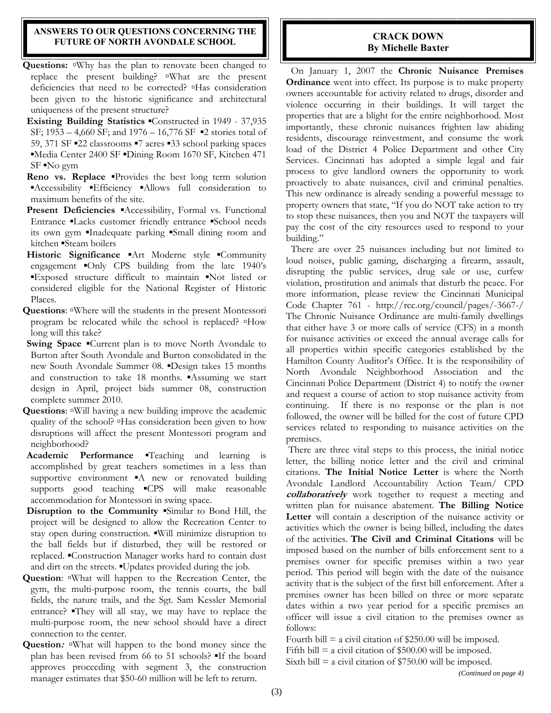#### **ANSWERS TO OUR QUESTIONS CONCERNING THE FUTURE OF NORTH AVONDALE SCHOOL**

- Questions: **□Why has the plan to renovate been changed to** replace the present building? **▫**What are the present deficiencies that need to be corrected? **▫**Has consideration been given to the historic significance and architectural uniqueness of the present structure?
- **Existing Building Statistics** ▪Constructed in 1949 37,935 SF;  $1953 - 4,660$  SF; and  $1976 - 16,776$  SF  $\blacksquare$ 2 stories total of 59, 371 SF ▪22 classrooms ▪7 acres ▪33 school parking spaces ▪Media Center 2400 SF ▪Dining Room 1670 SF, Kitchen 471 SF ▪No gym
- **Reno vs. Replace •Provides** the best long term solution ▪Accessibility ▪Efficiency ▪Allows full consideration to maximum benefits of the site.
- **Present Deficiencies** ▪Accessibility, Formal vs. Functional Entrance **Lacks** customer friendly entrance *School needs* its own gym ▪Inadequate parking ▪Small dining room and kitchen •Steam boilers
- **Historic Significance** ▪Art Moderne style ▪Community engagement ▪Only CPS building from the late 1940's ▪Exposed structure difficult to maintain ▪Not listed or considered eligible for the National Register of Historic Places.
- **Questions**: **▫**Where will the students in the present Montessori program be relocated while the school is replaced? **▫**How long will this take?
- **Swing Space** ▪Current plan is to move North Avondale to Burton after South Avondale and Burton consolidated in the new South Avondale Summer 08. ▪Design takes 15 months and construction to take 18 months. Assuming we start design in April, project bids summer 08, construction complete summer 2010.
- **Questions**: **▫**Will having a new building improve the academic quality of the school? **▫**Has consideration been given to how disruptions will affect the present Montessori program and neighborhood?
- **Academic Performance Feaching** and learning is accomplished by great teachers sometimes in a less than supportive environment A new or renovated building supports good teaching **·CPS** will make reasonable accommodation for Montessori in swing space.
- **Disruption to the Community** ▪Similar to Bond Hill, the project will be designed to allow the Recreation Center to stay open during construction.  $\blacksquare$  will minimize disruption to the ball fields but if disturbed, they will be restored or replaced. ▪Construction Manager works hard to contain dust and dirt on the streets.  $\blacksquare$ Updates provided during the job.
- **Question**: **▫**What will happen to the Recreation Center, the gym, the multi-purpose room, the tennis courts, the ball fields, the nature trails, and the Sgt. Sam Kessler Memorial entrance? They will all stay, we may have to replace the multi-purpose room, the new school should have a direct connection to the center.
- **Question:**  $\sqrt{a}$ **What will happen to the bond money since the** plan has been revised from 66 to 51 schools? ▪If the board approves proceeding with segment 3, the construction manager estimates that \$50-60 million will be left to return.

#### **CRACK DOWN By Michelle Baxter**

 On January 1, 2007 the **Chronic Nuisance Premises Ordinance** went into effect. Its purpose is to make property owners accountable for activity related to drugs, disorder and violence occurring in their buildings. It will target the properties that are a blight for the entire neighborhood. Most importantly, these chronic nuisances frighten law abiding residents, discourage reinvestment, and consume the work load of the District 4 Police Department and other City Services. Cincinnati has adopted a simple legal and fair process to give landlord owners the opportunity to work proactively to abate nuisances, civil and criminal penalties. This new ordinance is already sending a powerful message to property owners that state, "If you do NOT take action to try to stop these nuisances, then you and NOT the taxpayers will pay the cost of the city resources used to respond to your building."

 There are over 25 nuisances including but not limited to loud noises, public gaming, discharging a firearm, assault, disrupting the public services, drug sale or use, curfew violation, prostitution and animals that disturb the peace. For more information, please review the Cincinnati Municipal Code Chapter 761 - http://rcc.org/council/pages/-3667-/ The Chronic Nuisance Ordinance are multi-family dwellings that either have 3 or more calls of service (CFS) in a month for nuisance activities or exceed the annual average calls for all properties within specific categories established by the Hamilton County Auditor's Office. It is the responsibility of North Avondale Neighborhood Association and the Cincinnati Police Department (District 4) to notify the owner and request a course of action to stop nuisance activity from continuing. If there is no response or the plan is not followed, the owner will be billed for the cost of future CPD services related to responding to nuisance activities on the premises.

 There are three vital steps to this process, the initial notice letter, the billing notice letter and the civil and criminal citations. **The Initial Notice Letter** is where the North Avondale Landlord Accountability Action Team/ CPD **collaboratively** work together to request a meeting and written plan for nuisance abatement. **The Billing Notice Letter** will contain a description of the nuisance activity or activities which the owner is being billed, including the dates of the activities. **The Civil and Criminal Citations** will be imposed based on the number of bills enforcement sent to a premises owner for specific premises within a two year period. This period will begin with the date of the nuisance activity that is the subject of the first bill enforcement. After a premises owner has been billed on three or more separate dates within a two year period for a specific premises an officer will issue a civil citation to the premises owner as follows:

Fourth bill  $=$  a civil citation of \$250.00 will be imposed.

Fifth bill  $=$  a civil citation of \$500.00 will be imposed.

Sixth bill  $=$  a civil citation of \$750.00 will be imposed.